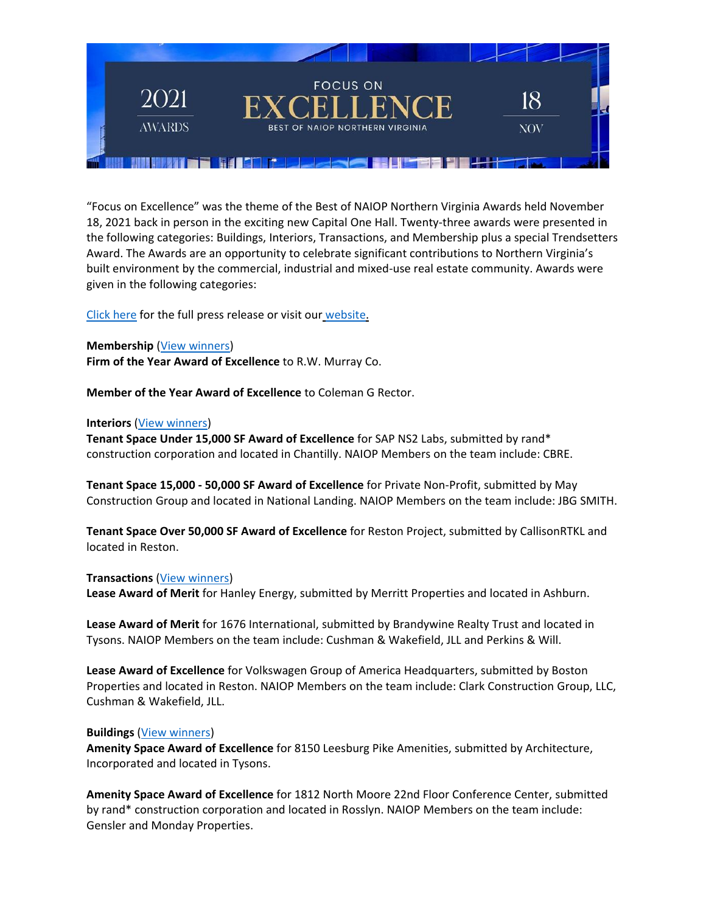

"Focus on Excellence" was the theme of the Best of NAIOP Northern Virginia Awards held November 18, 2021 back in person in the exciting new Capital One Hall. Twenty-three awards were presented in the following categories: Buildings, Interiors, Transactions, and Membership plus a special Trendsetters Award. The Awards are an opportunity to celebrate significant contributions to Northern Virginia's built environment by the commercial, industrial and mixed-use real estate community. Awards were given in the following categories:

[Click here](http://www.naiopva.org/events/2021/Awards/NAIOP_Awards_2021_Press_Release.pdf) for the full press release or visit our [website.](http://www.naiopva.org/awards.htm)

# **Membership** [\(View winners\)](http://www.naiopva.org/events/2021/Awards/2021NAIOP_Awards_Membership.pdf)

**Firm of the Year Award of Excellence** to R.W. Murray Co.

**Member of the Year Award of Excellence** to Coleman G Rector.

## **Interiors** [\(View winners\)](http://www.naiopva.org/events/2021/Awards/2021NAIOP_Awards_Interiors.pdf)

**Tenant Space Under 15,000 SF Award of Excellence** for SAP NS2 Labs, submitted by rand\* construction corporation and located in Chantilly. NAIOP Members on the team include: CBRE.

**Tenant Space 15,000 - 50,000 SF Award of Excellence** for Private Non-Profit, submitted by May Construction Group and located in National Landing. NAIOP Members on the team include: JBG SMITH.

**Tenant Space Over 50,000 SF Award of Excellence** for Reston Project, submitted by CallisonRTKL and located in Reston.

## **Transactions** [\(View winners\)](http://www.naiopva.org/events/2021/Awards/2021NAIOP_Awards_Transactions.pdf)

**Lease Award of Merit** for Hanley Energy, submitted by Merritt Properties and located in Ashburn.

**Lease Award of Merit** for 1676 International, submitted by Brandywine Realty Trust and located in Tysons. NAIOP Members on the team include: Cushman & Wakefield, JLL and Perkins & Will.

**Lease Award of Excellence** for Volkswagen Group of America Headquarters, submitted by Boston Properties and located in Reston. NAIOP Members on the team include: Clark Construction Group, LLC, Cushman & Wakefield, JLL.

## **Buildings** [\(View winners\)](http://www.naiopva.org/events/2021/Awards/2021NAIOP_Awards_Buildings.pdf)

**Amenity Space Award of Excellence** for 8150 Leesburg Pike Amenities, submitted by Architecture, Incorporated and located in Tysons.

**Amenity Space Award of Excellence** for 1812 North Moore 22nd Floor Conference Center, submitted by rand\* construction corporation and located in Rosslyn. NAIOP Members on the team include: Gensler and Monday Properties.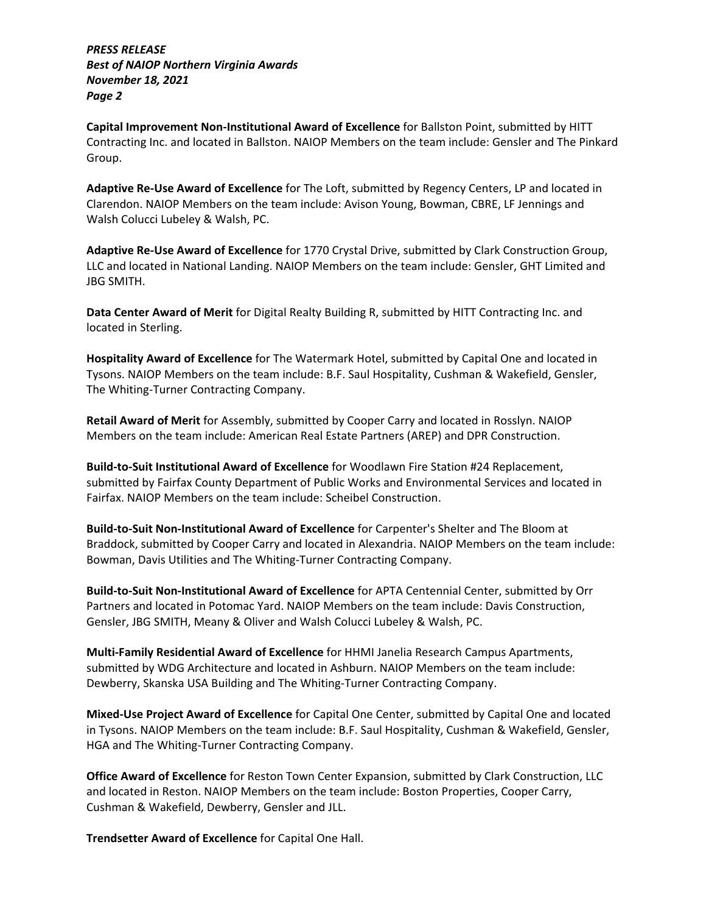*PRESS RELEASE Best of NAIOP Northern Virginia Awards November 18, 2021 Page 2*

**Capital Improvement Non-Institutional Award of Excellence** for Ballston Point, submitted by HITT Contracting Inc. and located in Ballston. NAIOP Members on the team include: Gensler and The Pinkard Group.

**Adaptive Re-Use Award of Excellence** for The Loft, submitted by Regency Centers, LP and located in Clarendon. NAIOP Members on the team include: Avison Young, Bowman, CBRE, LF Jennings and Walsh Colucci Lubeley & Walsh, PC.

**Adaptive Re-Use Award of Excellence** for 1770 Crystal Drive, submitted by Clark Construction Group, LLC and located in National Landing. NAIOP Members on the team include: Gensler, GHT Limited and JBG SMITH.

**Data Center Award of Merit** for Digital Realty Building R, submitted by HITT Contracting Inc. and located in Sterling.

**Hospitality Award of Excellence** for The Watermark Hotel, submitted by Capital One and located in Tysons. NAIOP Members on the team include: B.F. Saul Hospitality, Cushman & Wakefield, Gensler, The Whiting-Turner Contracting Company.

**Retail Award of Merit** for Assembly, submitted by Cooper Carry and located in Rosslyn. NAIOP Members on the team include: American Real Estate Partners (AREP) and DPR Construction.

**Build-to-Suit Institutional Award of Excellence** for Woodlawn Fire Station #24 Replacement, submitted by Fairfax County Department of Public Works and Environmental Services and located in Fairfax. NAIOP Members on the team include: Scheibel Construction.

**Build-to-Suit Non-Institutional Award of Excellence** for Carpenter's Shelter and The Bloom at Braddock, submitted by Cooper Carry and located in Alexandria. NAIOP Members on the team include: Bowman, Davis Utilities and The Whiting-Turner Contracting Company.

**Build-to-Suit Non-Institutional Award of Excellence** for APTA Centennial Center, submitted by Orr Partners and located in Potomac Yard. NAIOP Members on the team include: Davis Construction, Gensler, JBG SMITH, Meany & Oliver and Walsh Colucci Lubeley & Walsh, PC.

**Multi-Family Residential Award of Excellence** for HHMI Janelia Research Campus Apartments, submitted by WDG Architecture and located in Ashburn. NAIOP Members on the team include: Dewberry, Skanska USA Building and The Whiting-Turner Contracting Company.

**Mixed-Use Project Award of Excellence** for Capital One Center, submitted by Capital One and located in Tysons. NAIOP Members on the team include: B.F. Saul Hospitality, Cushman & Wakefield, Gensler, HGA and The Whiting-Turner Contracting Company.

**Office Award of Excellence** for Reston Town Center Expansion, submitted by Clark Construction, LLC and located in Reston. NAIOP Members on the team include: Boston Properties, Cooper Carry, Cushman & Wakefield, Dewberry, Gensler and JLL.

**Trendsetter Award of Excellence** for Capital One Hall.